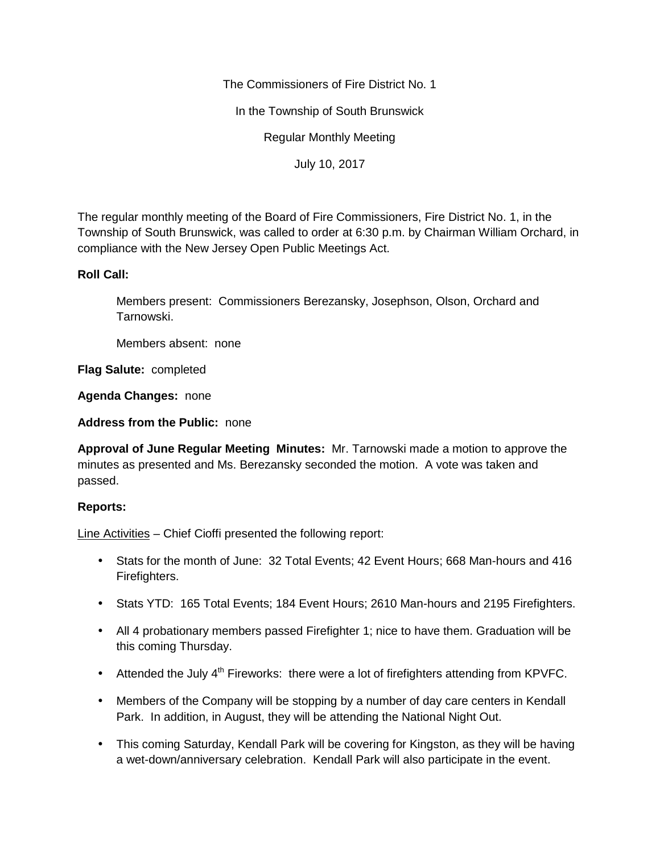The Commissioners of Fire District No. 1

In the Township of South Brunswick

Regular Monthly Meeting

July 10, 2017

The regular monthly meeting of the Board of Fire Commissioners, Fire District No. 1, in the Township of South Brunswick, was called to order at 6:30 p.m. by Chairman William Orchard, in compliance with the New Jersey Open Public Meetings Act.

## **Roll Call:**

Members present: Commissioners Berezansky, Josephson, Olson, Orchard and Tarnowski.

Members absent: none

**Flag Salute:** completed

**Agenda Changes:** none

**Address from the Public:** none

**Approval of June Regular Meeting Minutes:** Mr. Tarnowski made a motion to approve the minutes as presented and Ms. Berezansky seconded the motion. A vote was taken and passed.

## **Reports:**

Line Activities – Chief Cioffi presented the following report:

- Stats for the month of June: 32 Total Events; 42 Event Hours; 668 Man-hours and 416 Firefighters.
- Stats YTD: 165 Total Events; 184 Event Hours; 2610 Man-hours and 2195 Firefighters.
- All 4 probationary members passed Firefighter 1; nice to have them. Graduation will be this coming Thursday.
- Attended the July  $4<sup>th</sup>$  Fireworks: there were a lot of firefighters attending from KPVFC.
- Members of the Company will be stopping by a number of day care centers in Kendall Park. In addition, in August, they will be attending the National Night Out.
- This coming Saturday, Kendall Park will be covering for Kingston, as they will be having a wet-down/anniversary celebration. Kendall Park will also participate in the event.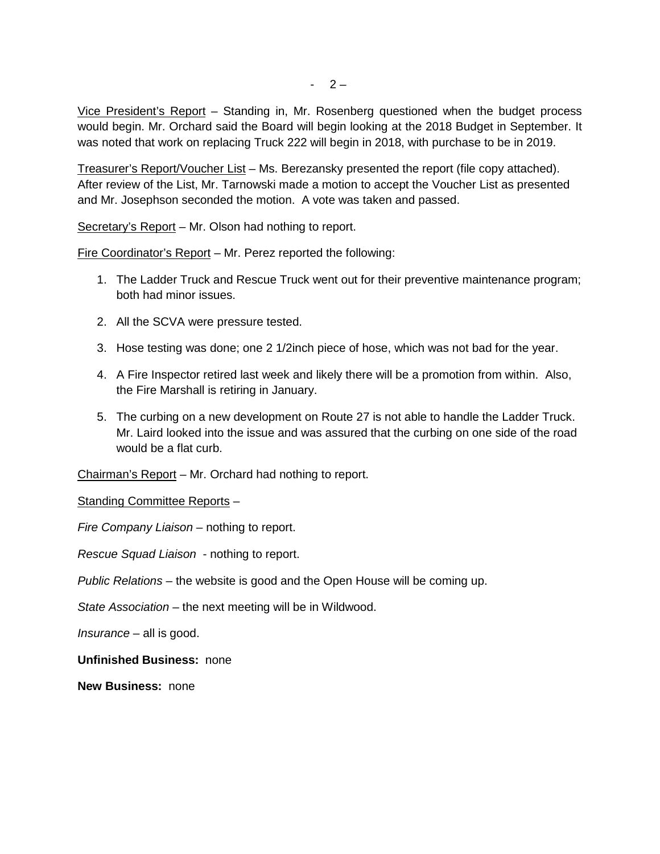Vice President's Report – Standing in, Mr. Rosenberg questioned when the budget process would begin. Mr. Orchard said the Board will begin looking at the 2018 Budget in September. It was noted that work on replacing Truck 222 will begin in 2018, with purchase to be in 2019.

Treasurer's Report/Voucher List – Ms. Berezansky presented the report (file copy attached). After review of the List, Mr. Tarnowski made a motion to accept the Voucher List as presented and Mr. Josephson seconded the motion. A vote was taken and passed.

Secretary's Report – Mr. Olson had nothing to report.

Fire Coordinator's Report – Mr. Perez reported the following:

- 1. The Ladder Truck and Rescue Truck went out for their preventive maintenance program; both had minor issues.
- 2. All the SCVA were pressure tested.
- 3. Hose testing was done; one 2 1/2inch piece of hose, which was not bad for the year.
- 4. A Fire Inspector retired last week and likely there will be a promotion from within. Also, the Fire Marshall is retiring in January.
- 5. The curbing on a new development on Route 27 is not able to handle the Ladder Truck. Mr. Laird looked into the issue and was assured that the curbing on one side of the road would be a flat curb.

Chairman's Report – Mr. Orchard had nothing to report.

Standing Committee Reports –

*Fire Company Liaison* – nothing to report.

*Rescue Squad Liaison* - nothing to report.

*Public Relations* – the website is good and the Open House will be coming up.

*State Association* – the next meeting will be in Wildwood.

*Insurance* – all is good.

**Unfinished Business:** none

**New Business:** none